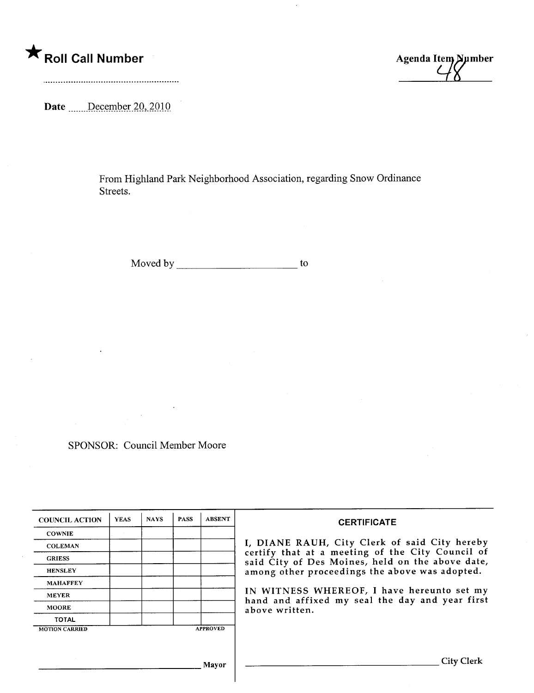## \* Roll Call Number Agenda Item Number

Date \_\_\_\_\_\_December 20, 2010

From Highland Park Neighborhood Association, regarding Snow Ordinance Streets.

Moved by to

SPONSOR: Council Member Moore

| <b>COUNCIL ACTION</b> | <b>YEAS</b> | <b>NAYS</b> | <b>PASS</b> | <b>ABSENT</b>   | <b>CERTIFICATE</b>                                                                                                                                                                                                                                                                                                         |
|-----------------------|-------------|-------------|-------------|-----------------|----------------------------------------------------------------------------------------------------------------------------------------------------------------------------------------------------------------------------------------------------------------------------------------------------------------------------|
| <b>COWNIE</b>         |             |             |             |                 |                                                                                                                                                                                                                                                                                                                            |
| <b>COLEMAN</b>        |             |             |             |                 | I, DIANE RAUH, City Clerk of said City hereby<br>certify that at a meeting of the City Council of<br>said City of Des Moines, held on the above date,<br>among other proceedings the above was adopted.<br>IN WITNESS WHEREOF, I have hereunto set my<br>hand and affixed my seal the day and year first<br>above written. |
| <b>GRIESS</b>         |             |             |             |                 |                                                                                                                                                                                                                                                                                                                            |
| <b>HENSLEY</b>        |             |             |             |                 |                                                                                                                                                                                                                                                                                                                            |
| <b>MAHAFFEY</b>       |             |             |             |                 |                                                                                                                                                                                                                                                                                                                            |
| <b>MEYER</b>          |             |             |             |                 |                                                                                                                                                                                                                                                                                                                            |
| <b>MOORE</b>          |             |             |             |                 |                                                                                                                                                                                                                                                                                                                            |
| <b>TOTAL</b>          |             |             |             |                 |                                                                                                                                                                                                                                                                                                                            |
| <b>MOTION CARRIED</b> |             |             |             | <b>APPROVED</b> |                                                                                                                                                                                                                                                                                                                            |
|                       |             |             |             |                 |                                                                                                                                                                                                                                                                                                                            |
|                       |             |             |             |                 |                                                                                                                                                                                                                                                                                                                            |
|                       |             |             |             | Mayor           | City                                                                                                                                                                                                                                                                                                                       |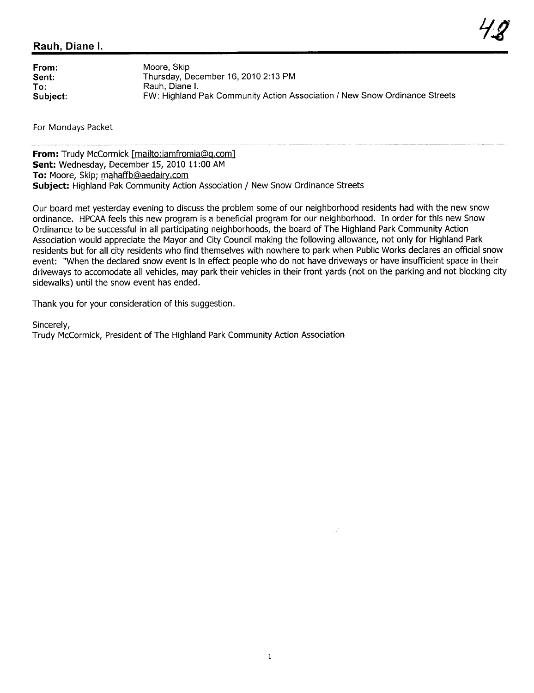## Rauh, Diane i.

From: Sent: To: Subject: Moore, Skip Thursday, December 16, 2010 2:13 PM Rauh, Diane i. FW: Highland Pak Community Action Association / New Snow Ordinance Streets

For Mondays Packet

From: Trudy McCormick [mailto:iamfromia@q.com] Sent: Wednesday, December 15, 2010 11:00 AM To: Moore, Skip; mahaffb@aedairy.com Subject: Highland Pak Community Action Association / New Snow Ordinance Streets

Our board met yesterday evening to discuss the problem some of our neighborhood residents had with the new snow ordinance. HPCA feels this new program is a beneficial program for our neighborhood. In order for this new Snow Ordinance to be successful in all participating neighborhoods, the board of The Highland Park Community Action Association would appreciate the Mayor and City Council making the following allowance, not only for Highland Park residents but for all city residents who find themselves with nowhere to park when Public Works declares an official snow event: "When the declared snow event is in effect people who do not have driveways or have insufficient space in their driveways to accomodate all vehicles, may park their vehicles in their front yards (not on the parking and not blocking city sidewalks) until the snow event has ended.

Thank you for your consideration of this suggestion.

Sincerely,

Trudy McCormick, President of The Highland Park Community Action Association